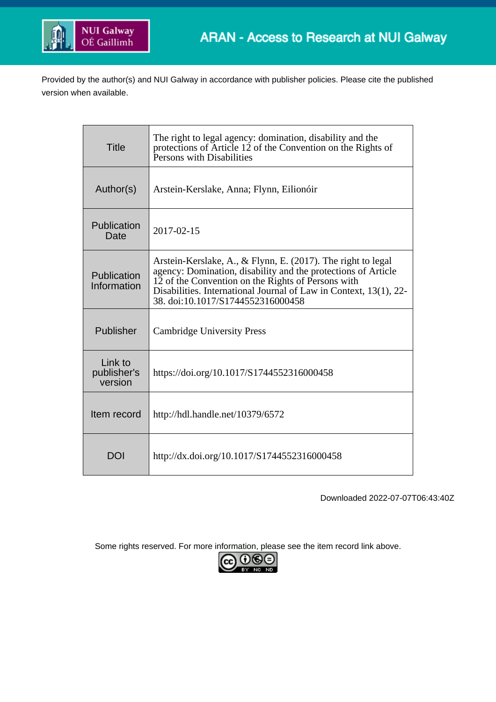

Provided by the author(s) and NUI Galway in accordance with publisher policies. Please cite the published version when available.

| <b>Title</b>                      | The right to legal agency: domination, disability and the<br>protections of Article 12 of the Convention on the Rights of<br>Persons with Disabilities                                                                                                                                        |
|-----------------------------------|-----------------------------------------------------------------------------------------------------------------------------------------------------------------------------------------------------------------------------------------------------------------------------------------------|
| Author(s)                         | Arstein-Kerslake, Anna; Flynn, Eilionóir                                                                                                                                                                                                                                                      |
| Publication<br>Date               | 2017-02-15                                                                                                                                                                                                                                                                                    |
| Publication<br>Information        | Arstein-Kerslake, A., & Flynn, E. (2017). The right to legal<br>agency: Domination, disability and the protections of Article<br>12 of the Convention on the Rights of Persons with<br>Disabilities. International Journal of Law in Context, 13(1), 22-<br>38. doi:10.1017/S1744552316000458 |
| Publisher                         | <b>Cambridge University Press</b>                                                                                                                                                                                                                                                             |
| Link to<br>publisher's<br>version | https://doi.org/10.1017/S1744552316000458                                                                                                                                                                                                                                                     |
| Item record                       | http://hdl.handle.net/10379/6572                                                                                                                                                                                                                                                              |
| DOI                               | http://dx.doi.org/10.1017/S1744552316000458                                                                                                                                                                                                                                                   |

Downloaded 2022-07-07T06:43:40Z

Some rights reserved. For more information, please see the item record link above.

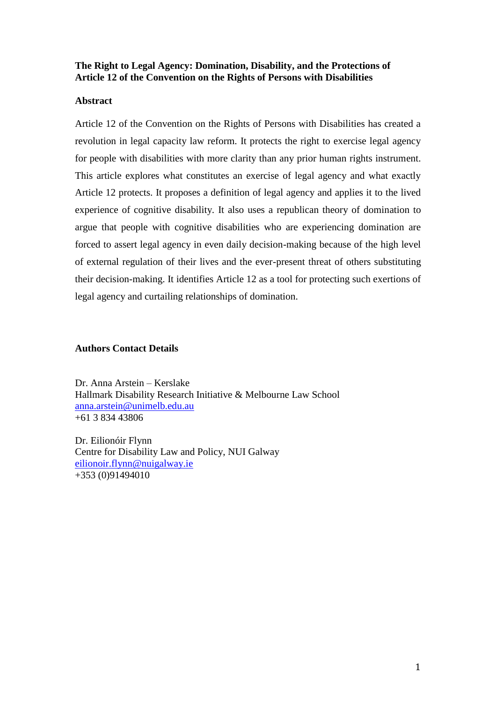# **The Right to Legal Agency: Domination, Disability, and the Protections of Article 12 of the Convention on the Rights of Persons with Disabilities**

# **Abstract**

Article 12 of the Convention on the Rights of Persons with Disabilities has created a revolution in legal capacity law reform. It protects the right to exercise legal agency for people with disabilities with more clarity than any prior human rights instrument. This article explores what constitutes an exercise of legal agency and what exactly Article 12 protects. It proposes a definition of legal agency and applies it to the lived experience of cognitive disability. It also uses a republican theory of domination to argue that people with cognitive disabilities who are experiencing domination are forced to assert legal agency in even daily decision-making because of the high level of external regulation of their lives and the ever-present threat of others substituting their decision-making. It identifies Article 12 as a tool for protecting such exertions of legal agency and curtailing relationships of domination.

# **Authors Contact Details**

Dr. Anna Arstein – Kerslake Hallmark Disability Research Initiative & Melbourne Law School [anna.arstein@unimelb.edu.au](mailto:anna.arstein@unimelb.edu.au) +61 3 834 43806

Dr. Eilionóir Flynn Centre for Disability Law and Policy, NUI Galway [eilionoir.flynn@nuigalway.ie](mailto:eilionoir.flynn@nuigalway.ie) +353 (0)91494010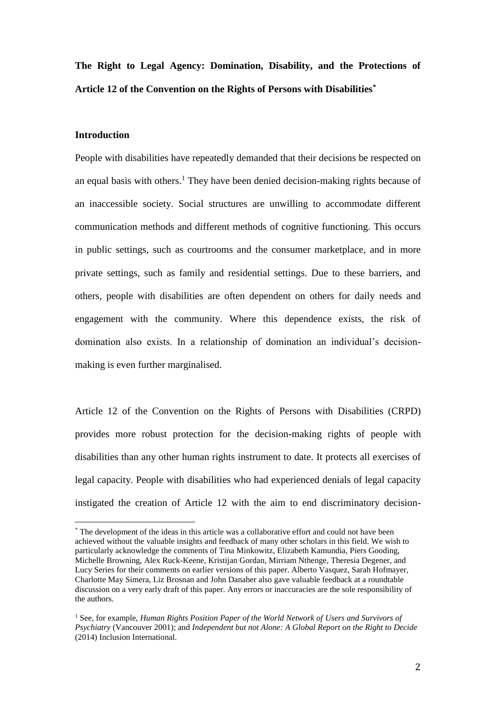# **The Right to Legal Agency: Domination, Disability, and the Protections of Article 12 of the Convention on the Rights of Persons with Disabilities\***

# **Introduction**

l

People with disabilities have repeatedly demanded that their decisions be respected on an equal basis with others.<sup>1</sup> They have been denied decision-making rights because of an inaccessible society. Social structures are unwilling to accommodate different communication methods and different methods of cognitive functioning. This occurs in public settings, such as courtrooms and the consumer marketplace, and in more private settings, such as family and residential settings. Due to these barriers, and others, people with disabilities are often dependent on others for daily needs and engagement with the community. Where this dependence exists, the risk of domination also exists. In a relationship of domination an individual's decisionmaking is even further marginalised.

Article 12 of the Convention on the Rights of Persons with Disabilities (CRPD) provides more robust protection for the decision-making rights of people with disabilities than any other human rights instrument to date. It protects all exercises of legal capacity. People with disabilities who had experienced denials of legal capacity instigated the creation of Article 12 with the aim to end discriminatory decision-

<sup>\*</sup> The development of the ideas in this article was a collaborative effort and could not have been achieved without the valuable insights and feedback of many other scholars in this field. We wish to particularly acknowledge the comments of Tina Minkowitz, Elizabeth Kamundia, Piers Gooding, Michelle Browning, Alex Ruck-Keene, Kristijan Gordan, Mirriam Nthenge, Theresia Degener, and Lucy Series for their comments on earlier versions of this paper. Alberto Vasquez, Sarah Hofmayer, Charlotte May Simera, Liz Brosnan and John Danaher also gave valuable feedback at a roundtable discussion on a very early draft of this paper. Any errors or inaccuracies are the sole responsibility of the authors.

<sup>1</sup> See, for example, *Human Rights Position Paper of the World Network of Users and Survivors of Psychiatry* (Vancouver 2001); and *Independent but not Alone: A Global Report on the Right to Decide* (2014) Inclusion International.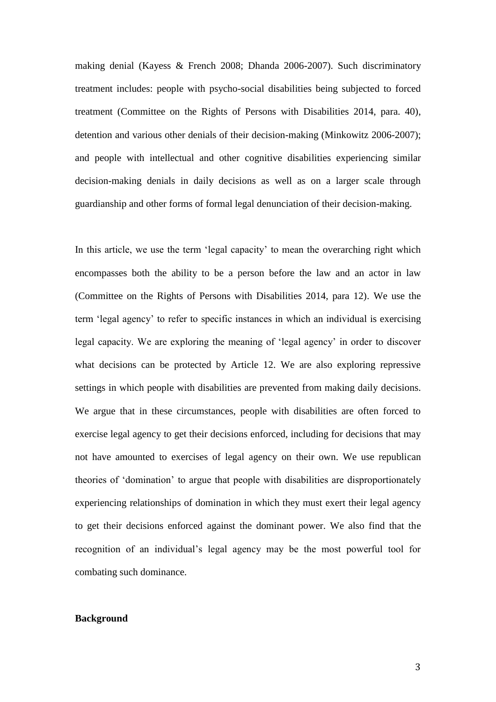making denial (Kayess & French 2008; Dhanda 2006-2007). Such discriminatory treatment includes: people with psycho-social disabilities being subjected to forced treatment (Committee on the Rights of Persons with Disabilities 2014, para. 40), detention and various other denials of their decision-making (Minkowitz 2006-2007); and people with intellectual and other cognitive disabilities experiencing similar decision-making denials in daily decisions as well as on a larger scale through guardianship and other forms of formal legal denunciation of their decision-making.

In this article, we use the term 'legal capacity' to mean the overarching right which encompasses both the ability to be a person before the law and an actor in law (Committee on the Rights of Persons with Disabilities 2014, para 12). We use the term 'legal agency' to refer to specific instances in which an individual is exercising legal capacity. We are exploring the meaning of 'legal agency' in order to discover what decisions can be protected by Article 12. We are also exploring repressive settings in which people with disabilities are prevented from making daily decisions. We argue that in these circumstances, people with disabilities are often forced to exercise legal agency to get their decisions enforced, including for decisions that may not have amounted to exercises of legal agency on their own. We use republican theories of 'domination' to argue that people with disabilities are disproportionately experiencing relationships of domination in which they must exert their legal agency to get their decisions enforced against the dominant power. We also find that the recognition of an individual's legal agency may be the most powerful tool for combating such dominance.

## **Background**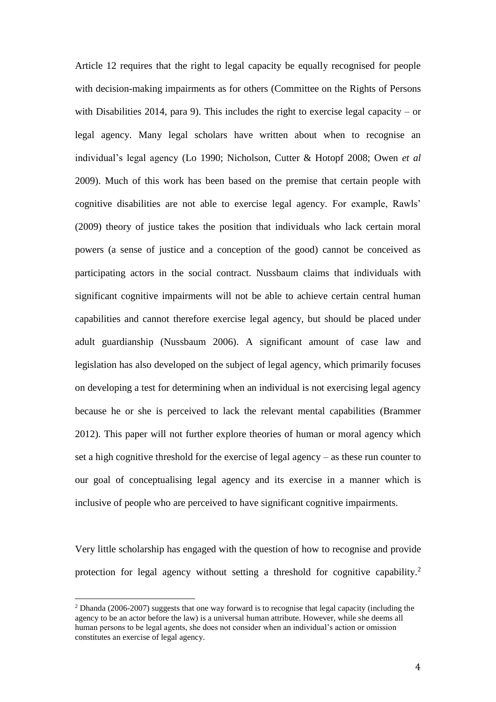Article 12 requires that the right to legal capacity be equally recognised for people with decision-making impairments as for others (Committee on the Rights of Persons with Disabilities 2014, para 9). This includes the right to exercise legal capacity – or legal agency. Many legal scholars have written about when to recognise an individual's legal agency (Lo 1990; Nicholson, Cutter & Hotopf 2008; Owen *et al*  2009). Much of this work has been based on the premise that certain people with cognitive disabilities are not able to exercise legal agency. For example, Rawls' (2009) theory of justice takes the position that individuals who lack certain moral powers (a sense of justice and a conception of the good) cannot be conceived as participating actors in the social contract. Nussbaum claims that individuals with significant cognitive impairments will not be able to achieve certain central human capabilities and cannot therefore exercise legal agency, but should be placed under adult guardianship (Nussbaum 2006). A significant amount of case law and legislation has also developed on the subject of legal agency, which primarily focuses on developing a test for determining when an individual is not exercising legal agency because he or she is perceived to lack the relevant mental capabilities (Brammer 2012). This paper will not further explore theories of human or moral agency which set a high cognitive threshold for the exercise of legal agency – as these run counter to our goal of conceptualising legal agency and its exercise in a manner which is inclusive of people who are perceived to have significant cognitive impairments.

Very little scholarship has engaged with the question of how to recognise and provide protection for legal agency without setting a threshold for cognitive capability.<sup>2</sup>

l

<sup>2</sup> Dhanda (2006-2007) suggests that one way forward is to recognise that legal capacity (including the agency to be an actor before the law) is a universal human attribute. However, while she deems all human persons to be legal agents, she does not consider when an individual's action or omission constitutes an exercise of legal agency.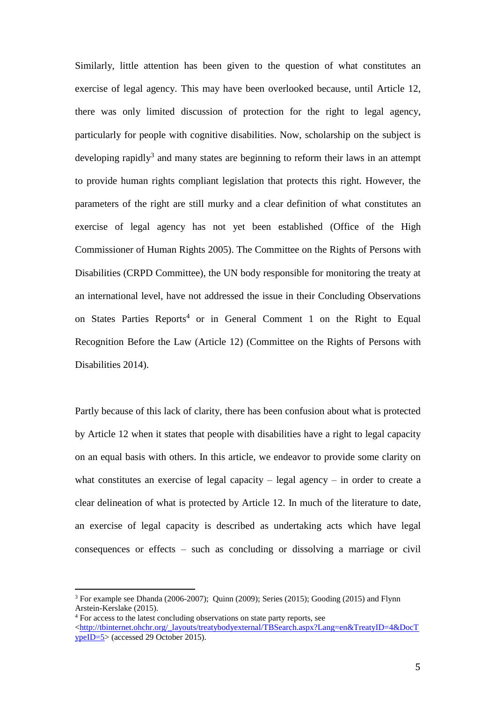Similarly, little attention has been given to the question of what constitutes an exercise of legal agency. This may have been overlooked because, until Article 12, there was only limited discussion of protection for the right to legal agency, particularly for people with cognitive disabilities. Now, scholarship on the subject is developing rapidly<sup>3</sup> and many states are beginning to reform their laws in an attempt to provide human rights compliant legislation that protects this right. However, the parameters of the right are still murky and a clear definition of what constitutes an exercise of legal agency has not yet been established (Office of the High Commissioner of Human Rights 2005). The Committee on the Rights of Persons with Disabilities (CRPD Committee), the UN body responsible for monitoring the treaty at an international level, have not addressed the issue in their Concluding Observations on States Parties Reports<sup>4</sup> or in General Comment 1 on the Right to Equal Recognition Before the Law (Article 12) (Committee on the Rights of Persons with Disabilities 2014).

Partly because of this lack of clarity, there has been confusion about what is protected by Article 12 when it states that people with disabilities have a right to legal capacity on an equal basis with others. In this article, we endeavor to provide some clarity on what constitutes an exercise of legal capacity – legal agency – in order to create a clear delineation of what is protected by Article 12. In much of the literature to date, an exercise of legal capacity is described as undertaking acts which have legal consequences or effects – such as concluding or dissolving a marriage or civil

<sup>3</sup> For example see Dhanda (2006-2007); Quinn (2009); Series (2015); Gooding (2015) and Flynn Arstein-Kerslake (2015).

<sup>4</sup> For access to the latest concluding observations on state party reports, see

[<sup>&</sup>lt;http://tbinternet.ohchr.org/\\_layouts/treatybodyexternal/TBSearch.aspx?Lang=en&TreatyID=4&DocT](http://tbinternet.ohchr.org/_layouts/treatybodyexternal/TBSearch.aspx?Lang=en&TreatyID=4&DocTypeID=5) [ypeID=5>](http://tbinternet.ohchr.org/_layouts/treatybodyexternal/TBSearch.aspx?Lang=en&TreatyID=4&DocTypeID=5) (accessed 29 October 2015).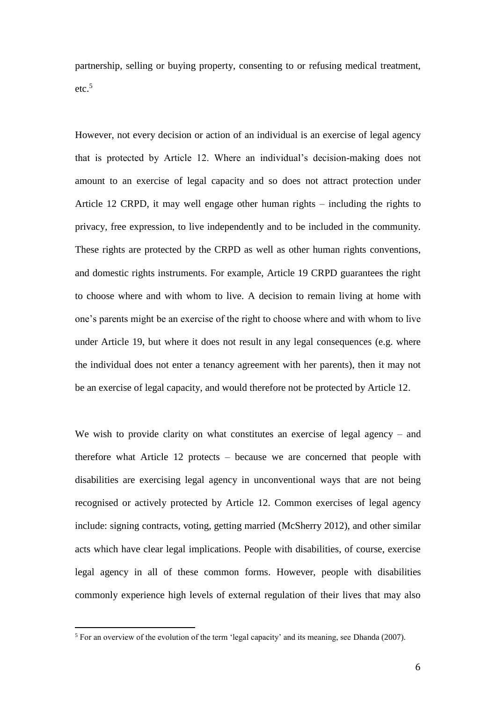partnership, selling or buying property, consenting to or refusing medical treatment,  $etc.<sup>5</sup>$ 

However, not every decision or action of an individual is an exercise of legal agency that is protected by Article 12. Where an individual's decision-making does not amount to an exercise of legal capacity and so does not attract protection under Article 12 CRPD, it may well engage other human rights – including the rights to privacy, free expression, to live independently and to be included in the community. These rights are protected by the CRPD as well as other human rights conventions, and domestic rights instruments. For example, Article 19 CRPD guarantees the right to choose where and with whom to live. A decision to remain living at home with one's parents might be an exercise of the right to choose where and with whom to live under Article 19, but where it does not result in any legal consequences (e.g. where the individual does not enter a tenancy agreement with her parents), then it may not be an exercise of legal capacity, and would therefore not be protected by Article 12.

We wish to provide clarity on what constitutes an exercise of legal agency – and therefore what Article 12 protects – because we are concerned that people with disabilities are exercising legal agency in unconventional ways that are not being recognised or actively protected by Article 12. Common exercises of legal agency include: signing contracts, voting, getting married (McSherry 2012), and other similar acts which have clear legal implications. People with disabilities, of course, exercise legal agency in all of these common forms. However, people with disabilities commonly experience high levels of external regulation of their lives that may also

l

<sup>&</sup>lt;sup>5</sup> For an overview of the evolution of the term 'legal capacity' and its meaning, see Dhanda (2007).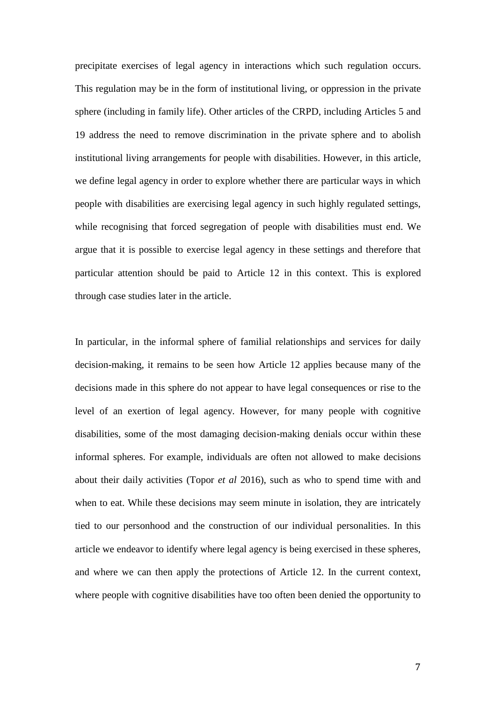precipitate exercises of legal agency in interactions which such regulation occurs. This regulation may be in the form of institutional living, or oppression in the private sphere (including in family life). Other articles of the CRPD, including Articles 5 and 19 address the need to remove discrimination in the private sphere and to abolish institutional living arrangements for people with disabilities. However, in this article, we define legal agency in order to explore whether there are particular ways in which people with disabilities are exercising legal agency in such highly regulated settings, while recognising that forced segregation of people with disabilities must end. We argue that it is possible to exercise legal agency in these settings and therefore that particular attention should be paid to Article 12 in this context. This is explored through case studies later in the article.

In particular, in the informal sphere of familial relationships and services for daily decision-making, it remains to be seen how Article 12 applies because many of the decisions made in this sphere do not appear to have legal consequences or rise to the level of an exertion of legal agency. However, for many people with cognitive disabilities, some of the most damaging decision-making denials occur within these informal spheres. For example, individuals are often not allowed to make decisions about their daily activities (Topor *et al* 2016), such as who to spend time with and when to eat. While these decisions may seem minute in isolation, they are intricately tied to our personhood and the construction of our individual personalities. In this article we endeavor to identify where legal agency is being exercised in these spheres, and where we can then apply the protections of Article 12. In the current context, where people with cognitive disabilities have too often been denied the opportunity to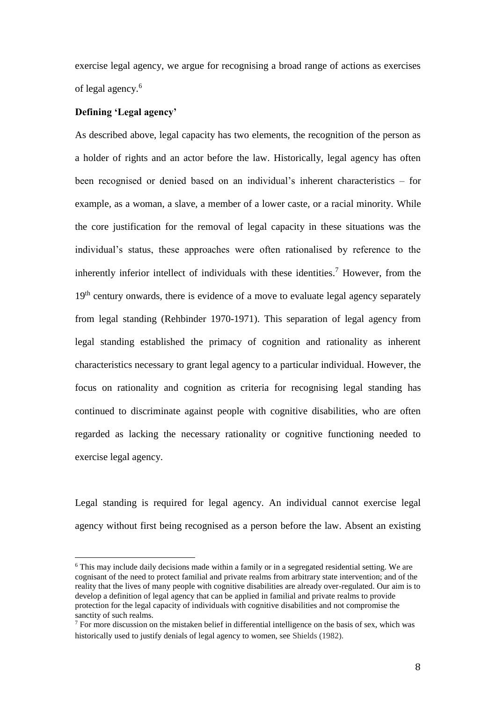exercise legal agency, we argue for recognising a broad range of actions as exercises of legal agency.<sup>6</sup>

## **Defining 'Legal agency'**

l

As described above, legal capacity has two elements, the recognition of the person as a holder of rights and an actor before the law. Historically, legal agency has often been recognised or denied based on an individual's inherent characteristics – for example, as a woman, a slave, a member of a lower caste, or a racial minority. While the core justification for the removal of legal capacity in these situations was the individual's status, these approaches were often rationalised by reference to the inherently inferior intellect of individuals with these identities.<sup>7</sup> However, from the 19<sup>th</sup> century onwards, there is evidence of a move to evaluate legal agency separately from legal standing (Rehbinder 1970-1971). This separation of legal agency from legal standing established the primacy of cognition and rationality as inherent characteristics necessary to grant legal agency to a particular individual. However, the focus on rationality and cognition as criteria for recognising legal standing has continued to discriminate against people with cognitive disabilities, who are often regarded as lacking the necessary rationality or cognitive functioning needed to exercise legal agency.

Legal standing is required for legal agency. An individual cannot exercise legal agency without first being recognised as a person before the law. Absent an existing

<sup>&</sup>lt;sup>6</sup> This may include daily decisions made within a family or in a segregated residential setting. We are cognisant of the need to protect familial and private realms from arbitrary state intervention; and of the reality that the lives of many people with cognitive disabilities are already over-regulated. Our aim is to develop a definition of legal agency that can be applied in familial and private realms to provide protection for the legal capacity of individuals with cognitive disabilities and not compromise the sanctity of such realms.

<sup>7</sup> For more discussion on the mistaken belief in differential intelligence on the basis of sex, which was historically used to justify denials of legal agency to women, see Shields (1982).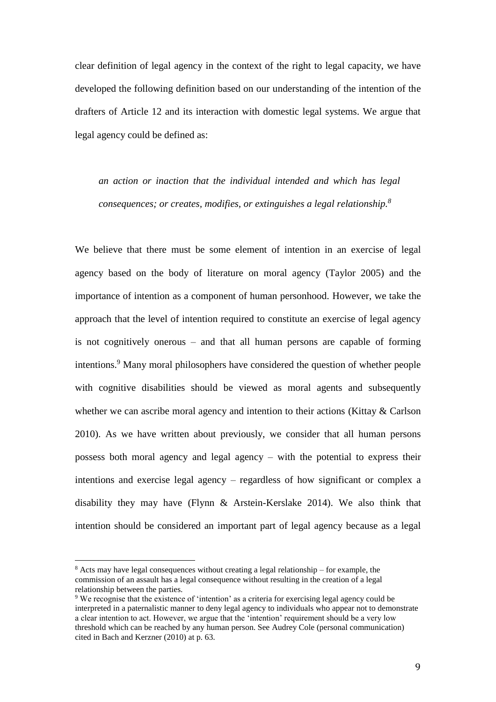clear definition of legal agency in the context of the right to legal capacity, we have developed the following definition based on our understanding of the intention of the drafters of Article 12 and its interaction with domestic legal systems. We argue that legal agency could be defined as:

*an action or inaction that the individual intended and which has legal consequences; or creates, modifies, or extinguishes a legal relationship.<sup>8</sup>*

We believe that there must be some element of intention in an exercise of legal agency based on the body of literature on moral agency (Taylor 2005) and the importance of intention as a component of human personhood. However, we take the approach that the level of intention required to constitute an exercise of legal agency is not cognitively onerous – and that all human persons are capable of forming intentions.<sup>9</sup> Many moral philosophers have considered the question of whether people with cognitive disabilities should be viewed as moral agents and subsequently whether we can ascribe moral agency and intention to their actions (Kittay & Carlson 2010). As we have written about previously, we consider that all human persons possess both moral agency and legal agency – with the potential to express their intentions and exercise legal agency – regardless of how significant or complex a disability they may have (Flynn & Arstein-Kerslake 2014). We also think that intention should be considered an important part of legal agency because as a legal

<sup>8</sup> Acts may have legal consequences without creating a legal relationship – for example, the commission of an assault has a legal consequence without resulting in the creation of a legal relationship between the parties.

<sup>9</sup> We recognise that the existence of 'intention' as a criteria for exercising legal agency could be interpreted in a paternalistic manner to deny legal agency to individuals who appear not to demonstrate a clear intention to act. However, we argue that the 'intention' requirement should be a very low threshold which can be reached by any human person. See Audrey Cole (personal communication) cited in Bach and Kerzner (2010) at p. 63.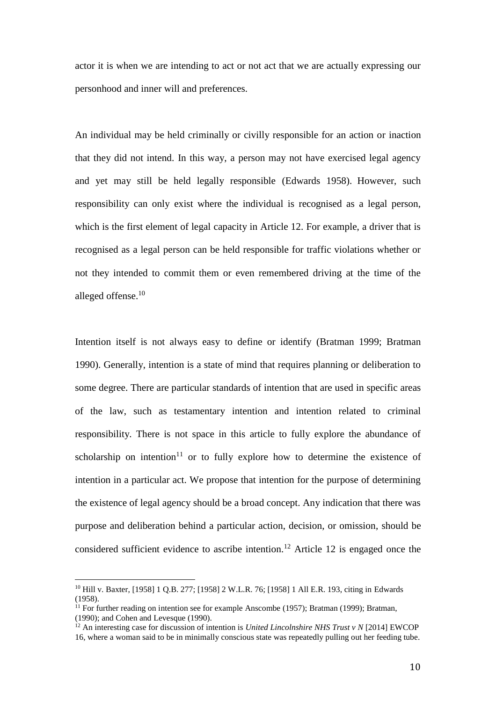actor it is when we are intending to act or not act that we are actually expressing our personhood and inner will and preferences.

An individual may be held criminally or civilly responsible for an action or inaction that they did not intend. In this way, a person may not have exercised legal agency and yet may still be held legally responsible (Edwards 1958). However, such responsibility can only exist where the individual is recognised as a legal person, which is the first element of legal capacity in Article 12. For example, a driver that is recognised as a legal person can be held responsible for traffic violations whether or not they intended to commit them or even remembered driving at the time of the alleged offense.<sup>10</sup>

Intention itself is not always easy to define or identify (Bratman 1999; Bratman 1990). Generally, intention is a state of mind that requires planning or deliberation to some degree. There are particular standards of intention that are used in specific areas of the law, such as testamentary intention and intention related to criminal responsibility. There is not space in this article to fully explore the abundance of scholarship on intention<sup>11</sup> or to fully explore how to determine the existence of intention in a particular act. We propose that intention for the purpose of determining the existence of legal agency should be a broad concept. Any indication that there was purpose and deliberation behind a particular action, decision, or omission, should be considered sufficient evidence to ascribe intention.<sup>12</sup> Article 12 is engaged once the

<sup>10</sup> Hill v. Baxter, [1958] 1 Q.B. 277; [1958] 2 W.L.R. 76; [1958] 1 All E.R. 193, citing in Edwards (1958).

 $11$  For further reading on intention see for example Anscombe (1957); Bratman (1999); Bratman, (1990); and Cohen and Levesque (1990).

<sup>12</sup> An interesting case for discussion of intention is *United Lincolnshire NHS Trust v N* [2014] EWCOP

<sup>16,</sup> where a woman said to be in minimally conscious state was repeatedly pulling out her feeding tube.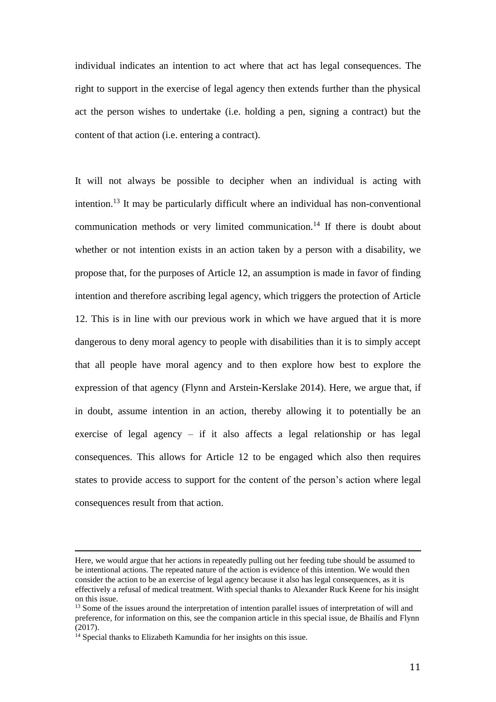individual indicates an intention to act where that act has legal consequences. The right to support in the exercise of legal agency then extends further than the physical act the person wishes to undertake (i.e. holding a pen, signing a contract) but the content of that action (i.e. entering a contract).

It will not always be possible to decipher when an individual is acting with intention.<sup>13</sup> It may be particularly difficult where an individual has non-conventional communication methods or very limited communication.<sup>14</sup> If there is doubt about whether or not intention exists in an action taken by a person with a disability, we propose that, for the purposes of Article 12, an assumption is made in favor of finding intention and therefore ascribing legal agency, which triggers the protection of Article 12. This is in line with our previous work in which we have argued that it is more dangerous to deny moral agency to people with disabilities than it is to simply accept that all people have moral agency and to then explore how best to explore the expression of that agency (Flynn and Arstein-Kerslake 2014). Here, we argue that, if in doubt, assume intention in an action, thereby allowing it to potentially be an exercise of legal agency – if it also affects a legal relationship or has legal consequences. This allows for Article 12 to be engaged which also then requires states to provide access to support for the content of the person's action where legal consequences result from that action.

Here, we would argue that her actions in repeatedly pulling out her feeding tube should be assumed to be intentional actions. The repeated nature of the action is evidence of this intention. We would then consider the action to be an exercise of legal agency because it also has legal consequences, as it is effectively a refusal of medical treatment. With special thanks to Alexander Ruck Keene for his insight on this issue.

<sup>&</sup>lt;sup>13</sup> Some of the issues around the interpretation of intention parallel issues of interpretation of will and preference, for information on this, see the companion article in this special issue, de Bhailís and Flynn (2017).

<sup>&</sup>lt;sup>14</sup> Special thanks to Elizabeth Kamundia for her insights on this issue.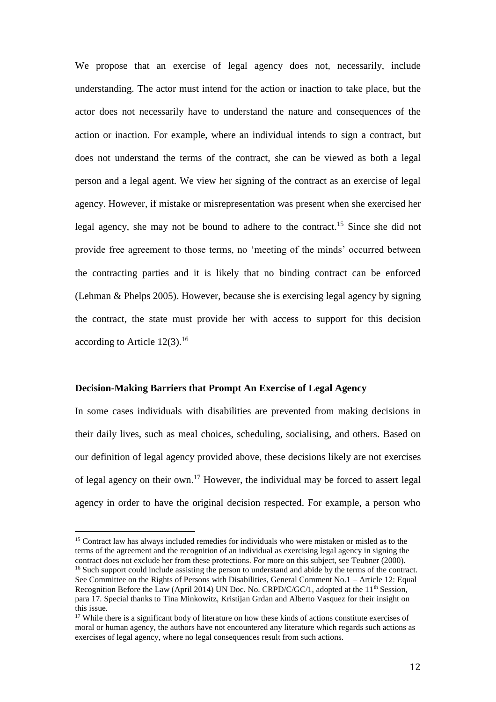We propose that an exercise of legal agency does not, necessarily, include understanding. The actor must intend for the action or inaction to take place, but the actor does not necessarily have to understand the nature and consequences of the action or inaction. For example, where an individual intends to sign a contract, but does not understand the terms of the contract, she can be viewed as both a legal person and a legal agent. We view her signing of the contract as an exercise of legal agency. However, if mistake or misrepresentation was present when she exercised her legal agency, she may not be bound to adhere to the contract.<sup>15</sup> Since she did not provide free agreement to those terms, no 'meeting of the minds' occurred between the contracting parties and it is likely that no binding contract can be enforced (Lehman & Phelps 2005). However, because she is exercising legal agency by signing the contract, the state must provide her with access to support for this decision according to Article  $12(3)$ .<sup>16</sup>

#### **Decision-Making Barriers that Prompt An Exercise of Legal Agency**

In some cases individuals with disabilities are prevented from making decisions in their daily lives, such as meal choices, scheduling, socialising, and others. Based on our definition of legal agency provided above, these decisions likely are not exercises of legal agency on their own.<sup>17</sup> However, the individual may be forced to assert legal agency in order to have the original decision respected. For example, a person who

<sup>&</sup>lt;sup>15</sup> Contract law has always included remedies for individuals who were mistaken or misled as to the terms of the agreement and the recognition of an individual as exercising legal agency in signing the contract does not exclude her from these protections. For more on this subject, see Teubner (2000).

<sup>&</sup>lt;sup>16</sup> Such support could include assisting the person to understand and abide by the terms of the contract. See Committee on the Rights of Persons with Disabilities, General Comment No.1 – Article 12: Equal Recognition Before the Law (April 2014) UN Doc. No. CRPD/C/GC/1, adopted at the  $11<sup>th</sup>$  Session, para 17. Special thanks to Tina Minkowitz, Kristijan Grdan and Alberto Vasquez for their insight on this issue.

<sup>&</sup>lt;sup>17</sup> While there is a significant body of literature on how these kinds of actions constitute exercises of moral or human agency, the authors have not encountered any literature which regards such actions as exercises of legal agency, where no legal consequences result from such actions.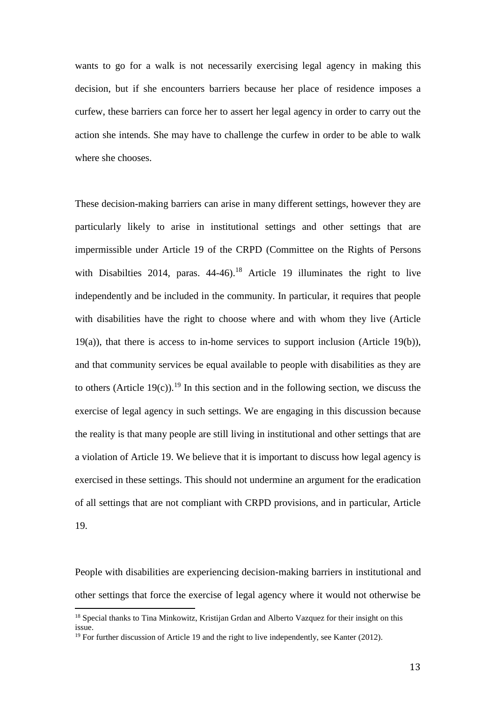wants to go for a walk is not necessarily exercising legal agency in making this decision, but if she encounters barriers because her place of residence imposes a curfew, these barriers can force her to assert her legal agency in order to carry out the action she intends. She may have to challenge the curfew in order to be able to walk where she chooses.

These decision-making barriers can arise in many different settings, however they are particularly likely to arise in institutional settings and other settings that are impermissible under Article 19 of the CRPD (Committee on the Rights of Persons with Disabilties 2014, paras.  $44-46$ .<sup>18</sup> Article 19 illuminates the right to live independently and be included in the community. In particular, it requires that people with disabilities have the right to choose where and with whom they live (Article 19(a)), that there is access to in-home services to support inclusion (Article 19(b)), and that community services be equal available to people with disabilities as they are to others (Article 19(c)).<sup>19</sup> In this section and in the following section, we discuss the exercise of legal agency in such settings. We are engaging in this discussion because the reality is that many people are still living in institutional and other settings that are a violation of Article 19. We believe that it is important to discuss how legal agency is exercised in these settings. This should not undermine an argument for the eradication of all settings that are not compliant with CRPD provisions, and in particular, Article 19.

People with disabilities are experiencing decision-making barriers in institutional and other settings that force the exercise of legal agency where it would not otherwise be

<sup>&</sup>lt;sup>18</sup> Special thanks to Tina Minkowitz, Kristijan Grdan and Alberto Vazquez for their insight on this issue.

<sup>&</sup>lt;sup>19</sup> For further discussion of Article 19 and the right to live independently, see Kanter (2012).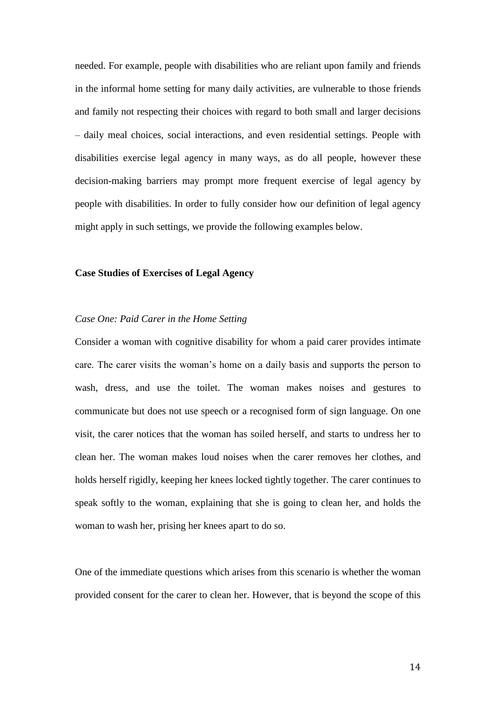needed. For example, people with disabilities who are reliant upon family and friends in the informal home setting for many daily activities, are vulnerable to those friends and family not respecting their choices with regard to both small and larger decisions – daily meal choices, social interactions, and even residential settings. People with disabilities exercise legal agency in many ways, as do all people, however these decision-making barriers may prompt more frequent exercise of legal agency by people with disabilities. In order to fully consider how our definition of legal agency might apply in such settings, we provide the following examples below.

#### **Case Studies of Exercises of Legal Agency**

#### *Case One: Paid Carer in the Home Setting*

Consider a woman with cognitive disability for whom a paid carer provides intimate care. The carer visits the woman's home on a daily basis and supports the person to wash, dress, and use the toilet. The woman makes noises and gestures to communicate but does not use speech or a recognised form of sign language. On one visit, the carer notices that the woman has soiled herself, and starts to undress her to clean her. The woman makes loud noises when the carer removes her clothes, and holds herself rigidly, keeping her knees locked tightly together. The carer continues to speak softly to the woman, explaining that she is going to clean her, and holds the woman to wash her, prising her knees apart to do so.

One of the immediate questions which arises from this scenario is whether the woman provided consent for the carer to clean her. However, that is beyond the scope of this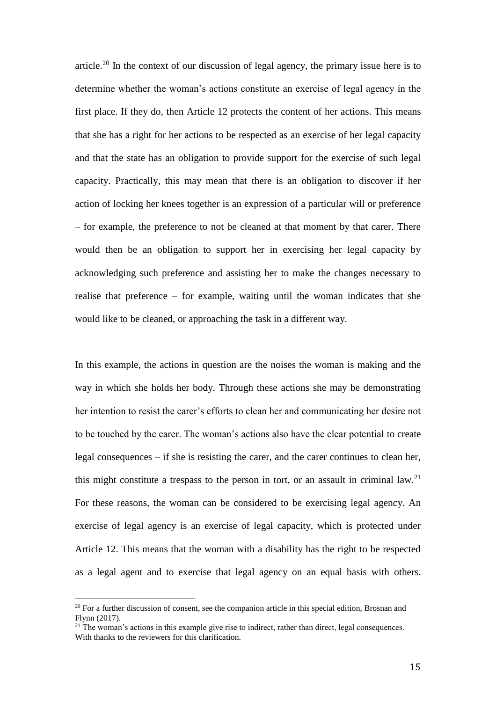article.<sup>20</sup> In the context of our discussion of legal agency, the primary issue here is to determine whether the woman's actions constitute an exercise of legal agency in the first place. If they do, then Article 12 protects the content of her actions. This means that she has a right for her actions to be respected as an exercise of her legal capacity and that the state has an obligation to provide support for the exercise of such legal capacity. Practically, this may mean that there is an obligation to discover if her action of locking her knees together is an expression of a particular will or preference – for example, the preference to not be cleaned at that moment by that carer. There would then be an obligation to support her in exercising her legal capacity by acknowledging such preference and assisting her to make the changes necessary to realise that preference – for example, waiting until the woman indicates that she would like to be cleaned, or approaching the task in a different way.

In this example, the actions in question are the noises the woman is making and the way in which she holds her body. Through these actions she may be demonstrating her intention to resist the carer's efforts to clean her and communicating her desire not to be touched by the carer. The woman's actions also have the clear potential to create legal consequences – if she is resisting the carer, and the carer continues to clean her, this might constitute a trespass to the person in tort, or an assault in criminal law.<sup>21</sup> For these reasons, the woman can be considered to be exercising legal agency. An exercise of legal agency is an exercise of legal capacity, which is protected under Article 12. This means that the woman with a disability has the right to be respected as a legal agent and to exercise that legal agency on an equal basis with others.

l

 $20$  For a further discussion of consent, see the companion article in this special edition, Brosnan and Flynn (2017).

 $21$  The woman's actions in this example give rise to indirect, rather than direct, legal consequences. With thanks to the reviewers for this clarification.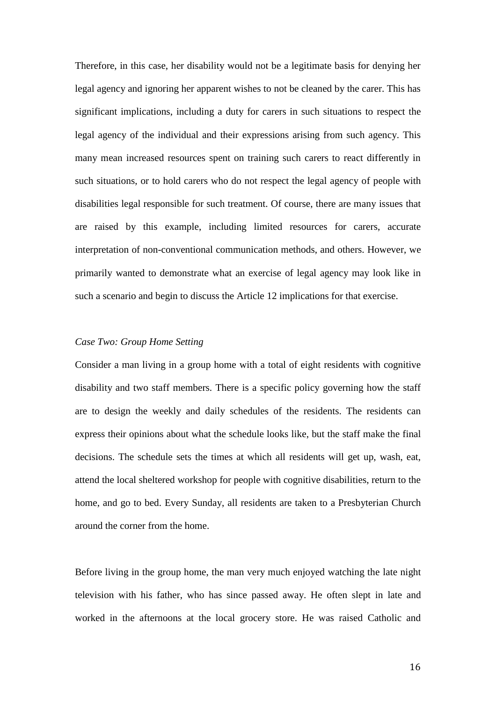Therefore, in this case, her disability would not be a legitimate basis for denying her legal agency and ignoring her apparent wishes to not be cleaned by the carer. This has significant implications, including a duty for carers in such situations to respect the legal agency of the individual and their expressions arising from such agency. This many mean increased resources spent on training such carers to react differently in such situations, or to hold carers who do not respect the legal agency of people with disabilities legal responsible for such treatment. Of course, there are many issues that are raised by this example, including limited resources for carers, accurate interpretation of non-conventional communication methods, and others. However, we primarily wanted to demonstrate what an exercise of legal agency may look like in such a scenario and begin to discuss the Article 12 implications for that exercise.

# *Case Two: Group Home Setting*

Consider a man living in a group home with a total of eight residents with cognitive disability and two staff members. There is a specific policy governing how the staff are to design the weekly and daily schedules of the residents. The residents can express their opinions about what the schedule looks like, but the staff make the final decisions. The schedule sets the times at which all residents will get up, wash, eat, attend the local sheltered workshop for people with cognitive disabilities, return to the home, and go to bed. Every Sunday, all residents are taken to a Presbyterian Church around the corner from the home.

Before living in the group home, the man very much enjoyed watching the late night television with his father, who has since passed away. He often slept in late and worked in the afternoons at the local grocery store. He was raised Catholic and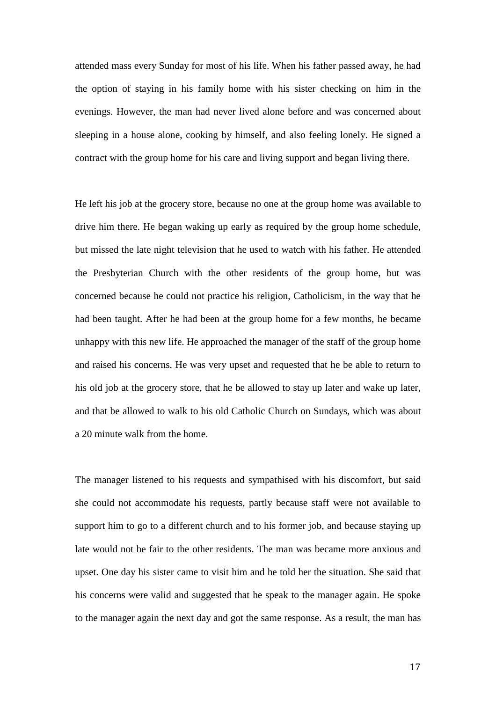attended mass every Sunday for most of his life. When his father passed away, he had the option of staying in his family home with his sister checking on him in the evenings. However, the man had never lived alone before and was concerned about sleeping in a house alone, cooking by himself, and also feeling lonely. He signed a contract with the group home for his care and living support and began living there.

He left his job at the grocery store, because no one at the group home was available to drive him there. He began waking up early as required by the group home schedule, but missed the late night television that he used to watch with his father. He attended the Presbyterian Church with the other residents of the group home, but was concerned because he could not practice his religion, Catholicism, in the way that he had been taught. After he had been at the group home for a few months, he became unhappy with this new life. He approached the manager of the staff of the group home and raised his concerns. He was very upset and requested that he be able to return to his old job at the grocery store, that he be allowed to stay up later and wake up later, and that be allowed to walk to his old Catholic Church on Sundays, which was about a 20 minute walk from the home.

The manager listened to his requests and sympathised with his discomfort, but said she could not accommodate his requests, partly because staff were not available to support him to go to a different church and to his former job, and because staying up late would not be fair to the other residents. The man was became more anxious and upset. One day his sister came to visit him and he told her the situation. She said that his concerns were valid and suggested that he speak to the manager again. He spoke to the manager again the next day and got the same response. As a result, the man has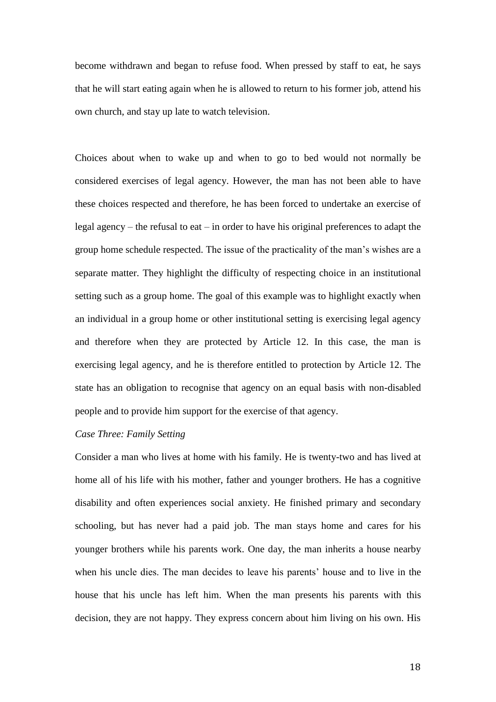become withdrawn and began to refuse food. When pressed by staff to eat, he says that he will start eating again when he is allowed to return to his former job, attend his own church, and stay up late to watch television.

Choices about when to wake up and when to go to bed would not normally be considered exercises of legal agency. However, the man has not been able to have these choices respected and therefore, he has been forced to undertake an exercise of legal agency – the refusal to eat – in order to have his original preferences to adapt the group home schedule respected. The issue of the practicality of the man's wishes are a separate matter. They highlight the difficulty of respecting choice in an institutional setting such as a group home. The goal of this example was to highlight exactly when an individual in a group home or other institutional setting is exercising legal agency and therefore when they are protected by Article 12. In this case, the man is exercising legal agency, and he is therefore entitled to protection by Article 12. The state has an obligation to recognise that agency on an equal basis with non-disabled people and to provide him support for the exercise of that agency.

## *Case Three: Family Setting*

Consider a man who lives at home with his family. He is twenty-two and has lived at home all of his life with his mother, father and younger brothers. He has a cognitive disability and often experiences social anxiety. He finished primary and secondary schooling, but has never had a paid job. The man stays home and cares for his younger brothers while his parents work. One day, the man inherits a house nearby when his uncle dies. The man decides to leave his parents' house and to live in the house that his uncle has left him. When the man presents his parents with this decision, they are not happy. They express concern about him living on his own. His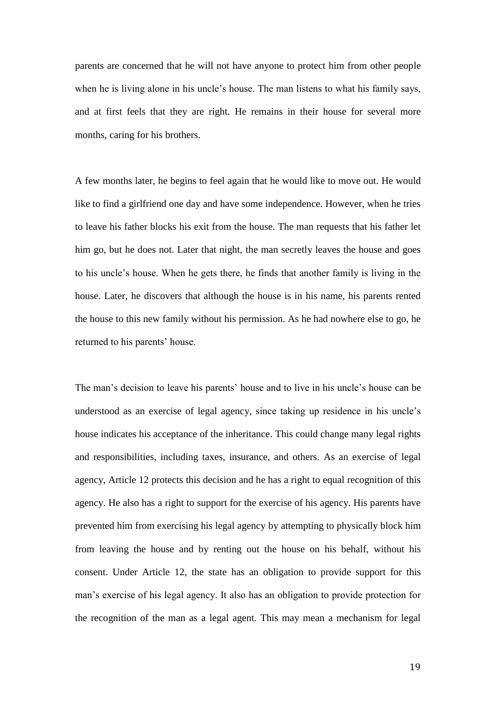parents are concerned that he will not have anyone to protect him from other people when he is living alone in his uncle's house. The man listens to what his family says, and at first feels that they are right. He remains in their house for several more months, caring for his brothers.

A few months later, he begins to feel again that he would like to move out. He would like to find a girlfriend one day and have some independence. However, when he tries to leave his father blocks his exit from the house. The man requests that his father let him go, but he does not. Later that night, the man secretly leaves the house and goes to his uncle's house. When he gets there, he finds that another family is living in the house. Later, he discovers that although the house is in his name, his parents rented the house to this new family without his permission. As he had nowhere else to go, he returned to his parents' house.

The man's decision to leave his parents' house and to live in his uncle's house can be understood as an exercise of legal agency, since taking up residence in his uncle's house indicates his acceptance of the inheritance. This could change many legal rights and responsibilities, including taxes, insurance, and others. As an exercise of legal agency, Article 12 protects this decision and he has a right to equal recognition of this agency. He also has a right to support for the exercise of his agency. His parents have prevented him from exercising his legal agency by attempting to physically block him from leaving the house and by renting out the house on his behalf, without his consent. Under Article 12, the state has an obligation to provide support for this man's exercise of his legal agency. It also has an obligation to provide protection for the recognition of the man as a legal agent. This may mean a mechanism for legal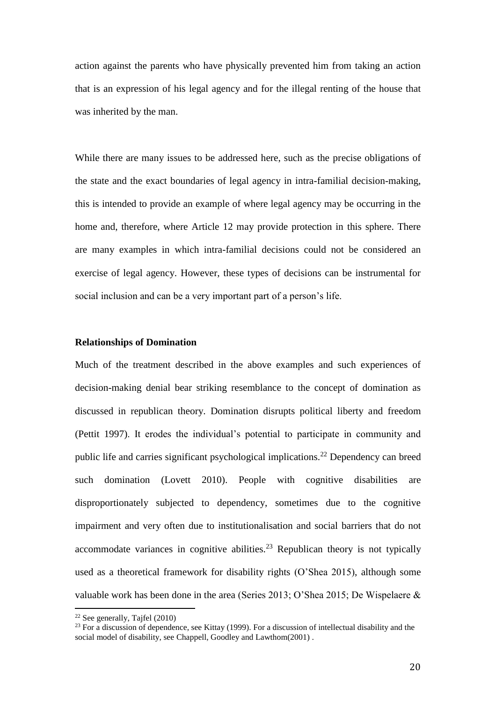action against the parents who have physically prevented him from taking an action that is an expression of his legal agency and for the illegal renting of the house that was inherited by the man.

While there are many issues to be addressed here, such as the precise obligations of the state and the exact boundaries of legal agency in intra-familial decision-making, this is intended to provide an example of where legal agency may be occurring in the home and, therefore, where Article 12 may provide protection in this sphere. There are many examples in which intra-familial decisions could not be considered an exercise of legal agency. However, these types of decisions can be instrumental for social inclusion and can be a very important part of a person's life.

# **Relationships of Domination**

Much of the treatment described in the above examples and such experiences of decision-making denial bear striking resemblance to the concept of domination as discussed in republican theory. Domination disrupts political liberty and freedom (Pettit 1997). It erodes the individual's potential to participate in community and public life and carries significant psychological implications.<sup>22</sup> Dependency can breed such domination (Lovett 2010). People with cognitive disabilities are disproportionately subjected to dependency, sometimes due to the cognitive impairment and very often due to institutionalisation and social barriers that do not accommodate variances in cognitive abilities.<sup>23</sup> Republican theory is not typically used as a theoretical framework for disability rights (O'Shea 2015), although some valuable work has been done in the area (Series 2013; O'Shea 2015; De Wispelaere &

<sup>&</sup>lt;sup>22</sup> See generally, Taifel  $(2010)$ 

 $^{23}$  For a discussion of dependence, see Kittay (1999). For a discussion of intellectual disability and the social model of disability, see Chappell, Goodley and Lawthom(2001).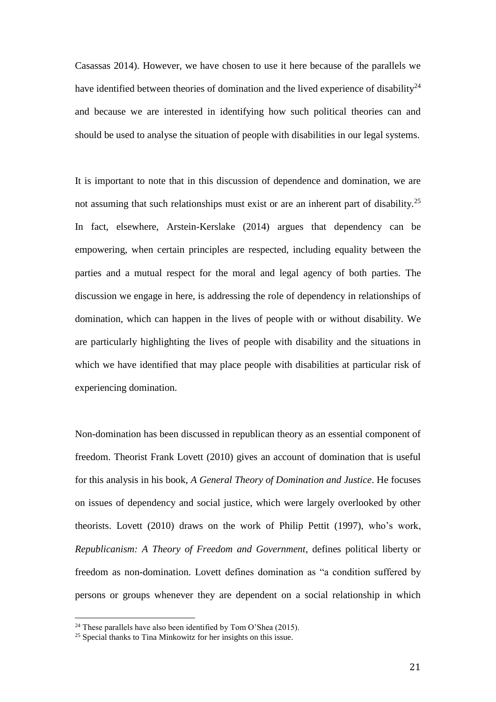Casassas 2014). However, we have chosen to use it here because of the parallels we have identified between theories of domination and the lived experience of disability<sup>24</sup> and because we are interested in identifying how such political theories can and should be used to analyse the situation of people with disabilities in our legal systems.

It is important to note that in this discussion of dependence and domination, we are not assuming that such relationships must exist or are an inherent part of disability.<sup>25</sup> In fact, elsewhere, Arstein-Kerslake (2014) argues that dependency can be empowering, when certain principles are respected, including equality between the parties and a mutual respect for the moral and legal agency of both parties. The discussion we engage in here, is addressing the role of dependency in relationships of domination, which can happen in the lives of people with or without disability. We are particularly highlighting the lives of people with disability and the situations in which we have identified that may place people with disabilities at particular risk of experiencing domination.

Non-domination has been discussed in republican theory as an essential component of freedom. Theorist Frank Lovett (2010) gives an account of domination that is useful for this analysis in his book, *A General Theory of Domination and Justice*. He focuses on issues of dependency and social justice, which were largely overlooked by other theorists. Lovett (2010) draws on the work of Philip Pettit (1997), who's work, *Republicanism: A Theory of Freedom and Government*, defines political liberty or freedom as non-domination. Lovett defines domination as "a condition suffered by persons or groups whenever they are dependent on a social relationship in which

<sup>&</sup>lt;sup>24</sup> These parallels have also been identified by Tom O'Shea (2015).

<sup>&</sup>lt;sup>25</sup> Special thanks to Tina Minkowitz for her insights on this issue.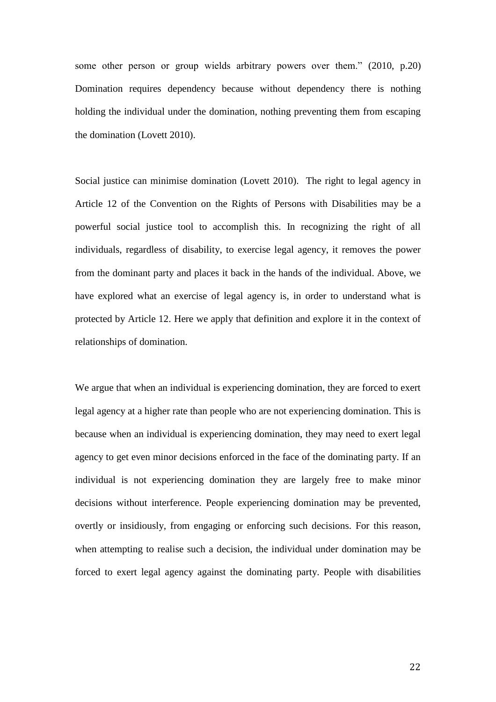some other person or group wields arbitrary powers over them." (2010, p.20) Domination requires dependency because without dependency there is nothing holding the individual under the domination, nothing preventing them from escaping the domination (Lovett 2010).

Social justice can minimise domination (Lovett 2010). The right to legal agency in Article 12 of the Convention on the Rights of Persons with Disabilities may be a powerful social justice tool to accomplish this. In recognizing the right of all individuals, regardless of disability, to exercise legal agency, it removes the power from the dominant party and places it back in the hands of the individual. Above, we have explored what an exercise of legal agency is, in order to understand what is protected by Article 12. Here we apply that definition and explore it in the context of relationships of domination.

We argue that when an individual is experiencing domination, they are forced to exert legal agency at a higher rate than people who are not experiencing domination. This is because when an individual is experiencing domination, they may need to exert legal agency to get even minor decisions enforced in the face of the dominating party. If an individual is not experiencing domination they are largely free to make minor decisions without interference. People experiencing domination may be prevented, overtly or insidiously, from engaging or enforcing such decisions. For this reason, when attempting to realise such a decision, the individual under domination may be forced to exert legal agency against the dominating party. People with disabilities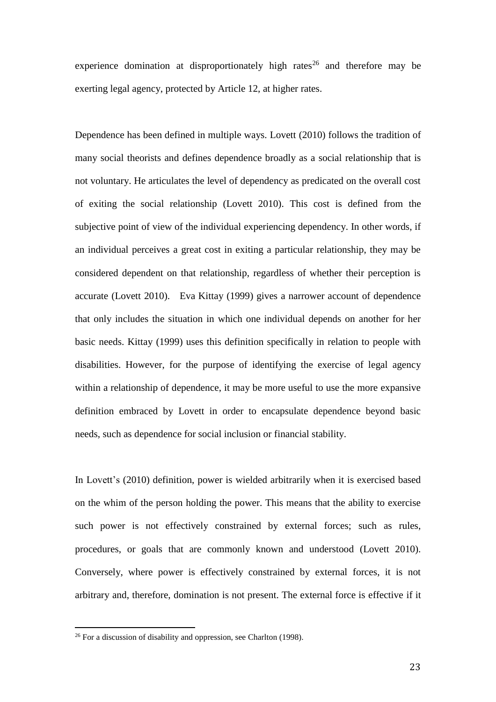experience domination at disproportionately high rates<sup>26</sup> and therefore may be exerting legal agency, protected by Article 12, at higher rates.

Dependence has been defined in multiple ways. Lovett (2010) follows the tradition of many social theorists and defines dependence broadly as a social relationship that is not voluntary. He articulates the level of dependency as predicated on the overall cost of exiting the social relationship (Lovett 2010). This cost is defined from the subjective point of view of the individual experiencing dependency. In other words, if an individual perceives a great cost in exiting a particular relationship, they may be considered dependent on that relationship, regardless of whether their perception is accurate (Lovett 2010). Eva Kittay (1999) gives a narrower account of dependence that only includes the situation in which one individual depends on another for her basic needs. Kittay (1999) uses this definition specifically in relation to people with disabilities. However, for the purpose of identifying the exercise of legal agency within a relationship of dependence, it may be more useful to use the more expansive definition embraced by Lovett in order to encapsulate dependence beyond basic needs, such as dependence for social inclusion or financial stability.

In Lovett's (2010) definition, power is wielded arbitrarily when it is exercised based on the whim of the person holding the power. This means that the ability to exercise such power is not effectively constrained by external forces; such as rules, procedures, or goals that are commonly known and understood (Lovett 2010). Conversely, where power is effectively constrained by external forces, it is not arbitrary and, therefore, domination is not present. The external force is effective if it

l

 $26$  For a discussion of disability and oppression, see Charlton (1998).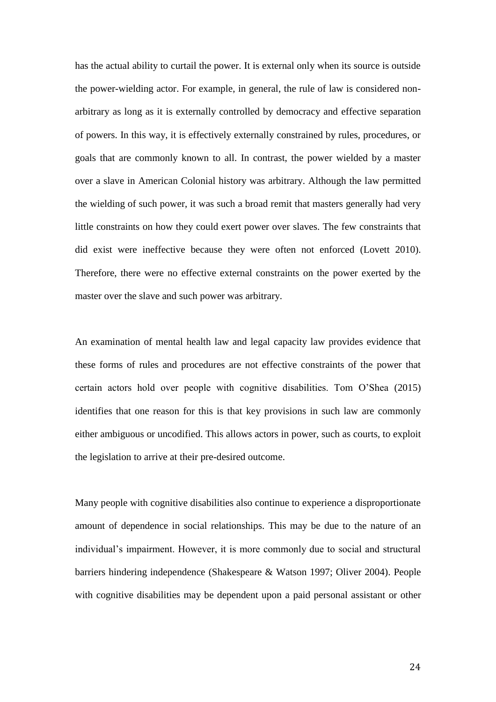has the actual ability to curtail the power. It is external only when its source is outside the power-wielding actor. For example, in general, the rule of law is considered nonarbitrary as long as it is externally controlled by democracy and effective separation of powers. In this way, it is effectively externally constrained by rules, procedures, or goals that are commonly known to all. In contrast, the power wielded by a master over a slave in American Colonial history was arbitrary. Although the law permitted the wielding of such power, it was such a broad remit that masters generally had very little constraints on how they could exert power over slaves. The few constraints that did exist were ineffective because they were often not enforced (Lovett 2010). Therefore, there were no effective external constraints on the power exerted by the master over the slave and such power was arbitrary.

An examination of mental health law and legal capacity law provides evidence that these forms of rules and procedures are not effective constraints of the power that certain actors hold over people with cognitive disabilities. Tom O'Shea (2015) identifies that one reason for this is that key provisions in such law are commonly either ambiguous or uncodified. This allows actors in power, such as courts, to exploit the legislation to arrive at their pre-desired outcome.

Many people with cognitive disabilities also continue to experience a disproportionate amount of dependence in social relationships. This may be due to the nature of an individual's impairment. However, it is more commonly due to social and structural barriers hindering independence (Shakespeare & Watson 1997; Oliver 2004). People with cognitive disabilities may be dependent upon a paid personal assistant or other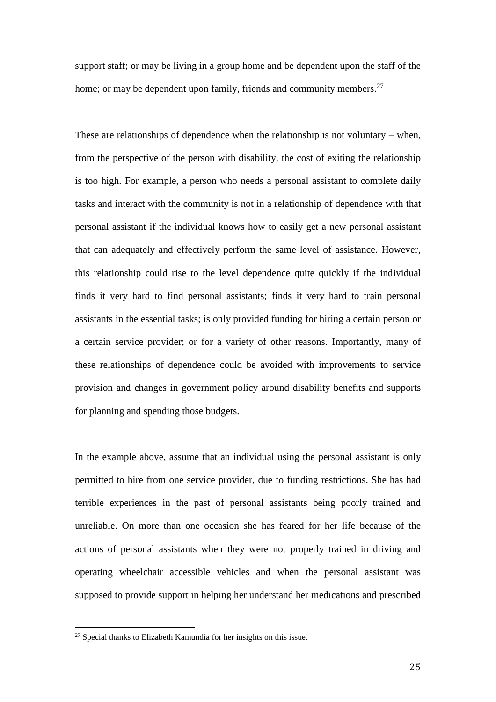support staff; or may be living in a group home and be dependent upon the staff of the home; or may be dependent upon family, friends and community members.<sup>27</sup>

These are relationships of dependence when the relationship is not voluntary – when, from the perspective of the person with disability, the cost of exiting the relationship is too high. For example, a person who needs a personal assistant to complete daily tasks and interact with the community is not in a relationship of dependence with that personal assistant if the individual knows how to easily get a new personal assistant that can adequately and effectively perform the same level of assistance. However, this relationship could rise to the level dependence quite quickly if the individual finds it very hard to find personal assistants; finds it very hard to train personal assistants in the essential tasks; is only provided funding for hiring a certain person or a certain service provider; or for a variety of other reasons. Importantly, many of these relationships of dependence could be avoided with improvements to service provision and changes in government policy around disability benefits and supports for planning and spending those budgets.

In the example above, assume that an individual using the personal assistant is only permitted to hire from one service provider, due to funding restrictions. She has had terrible experiences in the past of personal assistants being poorly trained and unreliable. On more than one occasion she has feared for her life because of the actions of personal assistants when they were not properly trained in driving and operating wheelchair accessible vehicles and when the personal assistant was supposed to provide support in helping her understand her medications and prescribed

l

<sup>&</sup>lt;sup>27</sup> Special thanks to Elizabeth Kamundia for her insights on this issue.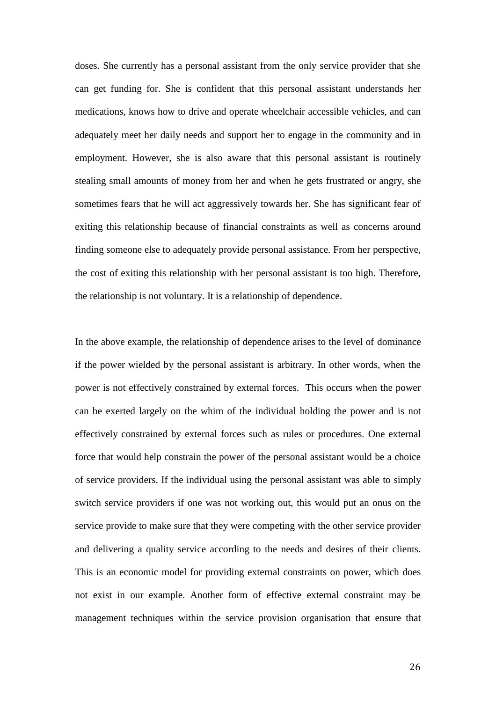doses. She currently has a personal assistant from the only service provider that she can get funding for. She is confident that this personal assistant understands her medications, knows how to drive and operate wheelchair accessible vehicles, and can adequately meet her daily needs and support her to engage in the community and in employment. However, she is also aware that this personal assistant is routinely stealing small amounts of money from her and when he gets frustrated or angry, she sometimes fears that he will act aggressively towards her. She has significant fear of exiting this relationship because of financial constraints as well as concerns around finding someone else to adequately provide personal assistance. From her perspective, the cost of exiting this relationship with her personal assistant is too high. Therefore, the relationship is not voluntary. It is a relationship of dependence.

In the above example, the relationship of dependence arises to the level of dominance if the power wielded by the personal assistant is arbitrary. In other words, when the power is not effectively constrained by external forces. This occurs when the power can be exerted largely on the whim of the individual holding the power and is not effectively constrained by external forces such as rules or procedures. One external force that would help constrain the power of the personal assistant would be a choice of service providers. If the individual using the personal assistant was able to simply switch service providers if one was not working out, this would put an onus on the service provide to make sure that they were competing with the other service provider and delivering a quality service according to the needs and desires of their clients. This is an economic model for providing external constraints on power, which does not exist in our example. Another form of effective external constraint may be management techniques within the service provision organisation that ensure that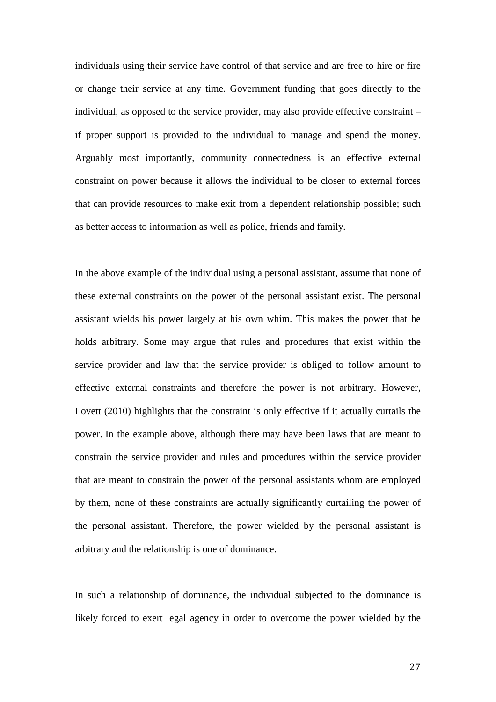individuals using their service have control of that service and are free to hire or fire or change their service at any time. Government funding that goes directly to the individual, as opposed to the service provider, may also provide effective constraint – if proper support is provided to the individual to manage and spend the money. Arguably most importantly, community connectedness is an effective external constraint on power because it allows the individual to be closer to external forces that can provide resources to make exit from a dependent relationship possible; such as better access to information as well as police, friends and family.

In the above example of the individual using a personal assistant, assume that none of these external constraints on the power of the personal assistant exist. The personal assistant wields his power largely at his own whim. This makes the power that he holds arbitrary. Some may argue that rules and procedures that exist within the service provider and law that the service provider is obliged to follow amount to effective external constraints and therefore the power is not arbitrary. However, Lovett (2010) highlights that the constraint is only effective if it actually curtails the power. In the example above, although there may have been laws that are meant to constrain the service provider and rules and procedures within the service provider that are meant to constrain the power of the personal assistants whom are employed by them, none of these constraints are actually significantly curtailing the power of the personal assistant. Therefore, the power wielded by the personal assistant is arbitrary and the relationship is one of dominance.

In such a relationship of dominance, the individual subjected to the dominance is likely forced to exert legal agency in order to overcome the power wielded by the

27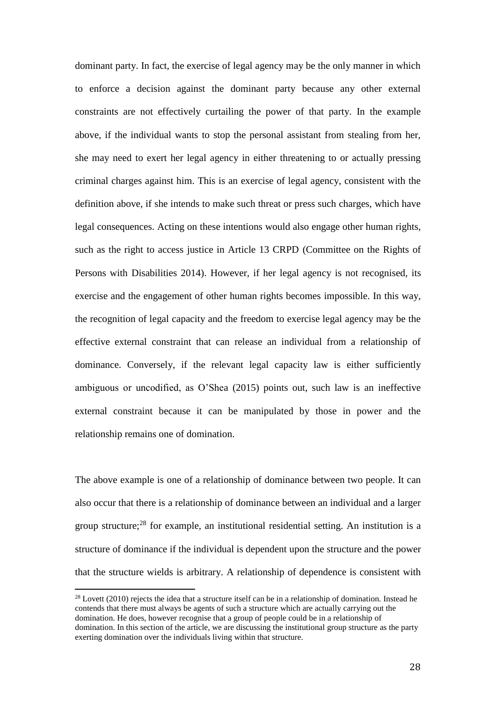dominant party. In fact, the exercise of legal agency may be the only manner in which to enforce a decision against the dominant party because any other external constraints are not effectively curtailing the power of that party. In the example above, if the individual wants to stop the personal assistant from stealing from her, she may need to exert her legal agency in either threatening to or actually pressing criminal charges against him. This is an exercise of legal agency, consistent with the definition above, if she intends to make such threat or press such charges, which have legal consequences. Acting on these intentions would also engage other human rights, such as the right to access justice in Article 13 CRPD (Committee on the Rights of Persons with Disabilities 2014). However, if her legal agency is not recognised, its exercise and the engagement of other human rights becomes impossible. In this way, the recognition of legal capacity and the freedom to exercise legal agency may be the effective external constraint that can release an individual from a relationship of dominance. Conversely, if the relevant legal capacity law is either sufficiently ambiguous or uncodified, as O'Shea (2015) points out, such law is an ineffective external constraint because it can be manipulated by those in power and the relationship remains one of domination.

The above example is one of a relationship of dominance between two people. It can also occur that there is a relationship of dominance between an individual and a larger group structure;<sup>28</sup> for example, an institutional residential setting. An institution is a structure of dominance if the individual is dependent upon the structure and the power that the structure wields is arbitrary. A relationship of dependence is consistent with

<sup>&</sup>lt;sup>28</sup> Lovett (2010) rejects the idea that a structure itself can be in a relationship of domination. Instead he contends that there must always be agents of such a structure which are actually carrying out the domination. He does, however recognise that a group of people could be in a relationship of domination. In this section of the article, we are discussing the institutional group structure as the party exerting domination over the individuals living within that structure.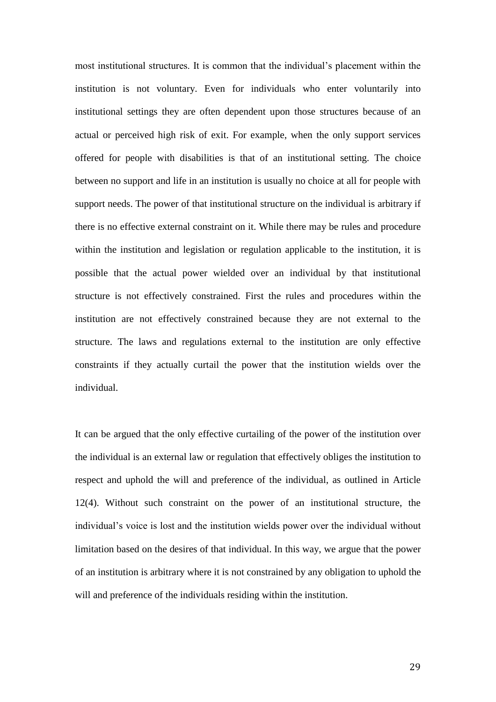most institutional structures. It is common that the individual's placement within the institution is not voluntary. Even for individuals who enter voluntarily into institutional settings they are often dependent upon those structures because of an actual or perceived high risk of exit. For example, when the only support services offered for people with disabilities is that of an institutional setting. The choice between no support and life in an institution is usually no choice at all for people with support needs. The power of that institutional structure on the individual is arbitrary if there is no effective external constraint on it. While there may be rules and procedure within the institution and legislation or regulation applicable to the institution, it is possible that the actual power wielded over an individual by that institutional structure is not effectively constrained. First the rules and procedures within the institution are not effectively constrained because they are not external to the structure. The laws and regulations external to the institution are only effective constraints if they actually curtail the power that the institution wields over the individual.

It can be argued that the only effective curtailing of the power of the institution over the individual is an external law or regulation that effectively obliges the institution to respect and uphold the will and preference of the individual, as outlined in Article 12(4). Without such constraint on the power of an institutional structure, the individual's voice is lost and the institution wields power over the individual without limitation based on the desires of that individual. In this way, we argue that the power of an institution is arbitrary where it is not constrained by any obligation to uphold the will and preference of the individuals residing within the institution.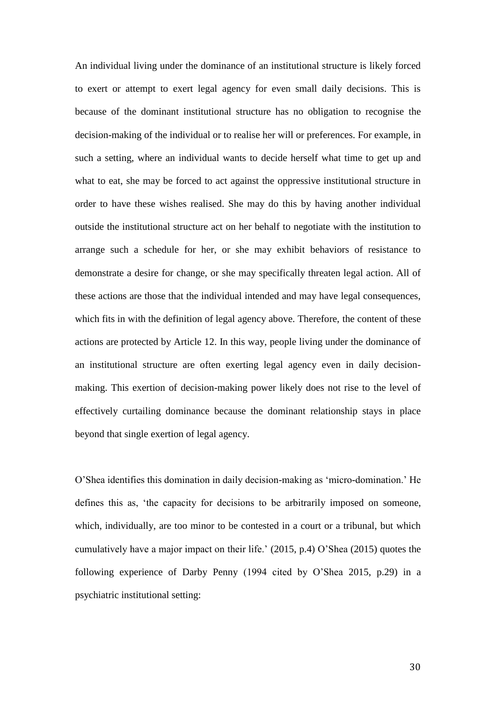An individual living under the dominance of an institutional structure is likely forced to exert or attempt to exert legal agency for even small daily decisions. This is because of the dominant institutional structure has no obligation to recognise the decision-making of the individual or to realise her will or preferences. For example, in such a setting, where an individual wants to decide herself what time to get up and what to eat, she may be forced to act against the oppressive institutional structure in order to have these wishes realised. She may do this by having another individual outside the institutional structure act on her behalf to negotiate with the institution to arrange such a schedule for her, or she may exhibit behaviors of resistance to demonstrate a desire for change, or she may specifically threaten legal action. All of these actions are those that the individual intended and may have legal consequences, which fits in with the definition of legal agency above. Therefore, the content of these actions are protected by Article 12. In this way, people living under the dominance of an institutional structure are often exerting legal agency even in daily decisionmaking. This exertion of decision-making power likely does not rise to the level of effectively curtailing dominance because the dominant relationship stays in place beyond that single exertion of legal agency.

O'Shea identifies this domination in daily decision-making as 'micro-domination.' He defines this as, 'the capacity for decisions to be arbitrarily imposed on someone, which, individually, are too minor to be contested in a court or a tribunal, but which cumulatively have a major impact on their life.' (2015, p.4) O'Shea (2015) quotes the following experience of Darby Penny (1994 cited by O'Shea 2015, p.29) in a psychiatric institutional setting: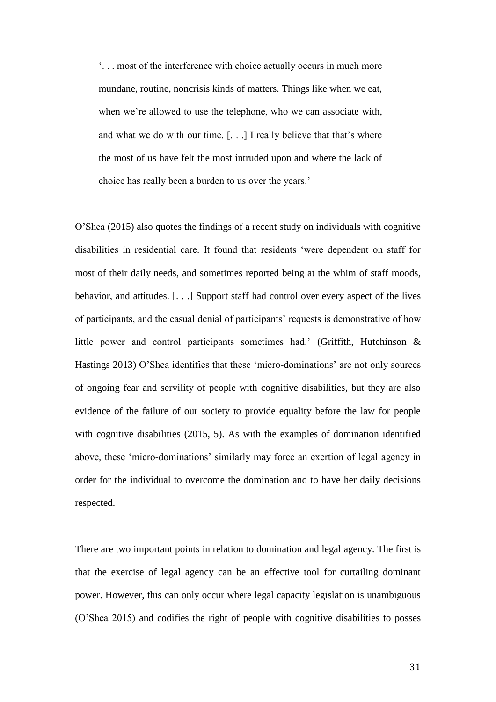'. . . most of the interference with choice actually occurs in much more mundane, routine, noncrisis kinds of matters. Things like when we eat, when we're allowed to use the telephone, who we can associate with, and what we do with our time. [. . .] I really believe that that's where the most of us have felt the most intruded upon and where the lack of choice has really been a burden to us over the years.'

O'Shea (2015) also quotes the findings of a recent study on individuals with cognitive disabilities in residential care. It found that residents 'were dependent on staff for most of their daily needs, and sometimes reported being at the whim of staff moods, behavior, and attitudes. [. . .] Support staff had control over every aspect of the lives of participants, and the casual denial of participants' requests is demonstrative of how little power and control participants sometimes had.' (Griffith, Hutchinson & Hastings 2013) O'Shea identifies that these 'micro-dominations' are not only sources of ongoing fear and servility of people with cognitive disabilities, but they are also evidence of the failure of our society to provide equality before the law for people with cognitive disabilities (2015, 5). As with the examples of domination identified above, these 'micro-dominations' similarly may force an exertion of legal agency in order for the individual to overcome the domination and to have her daily decisions respected.

There are two important points in relation to domination and legal agency. The first is that the exercise of legal agency can be an effective tool for curtailing dominant power. However, this can only occur where legal capacity legislation is unambiguous (O'Shea 2015) and codifies the right of people with cognitive disabilities to posses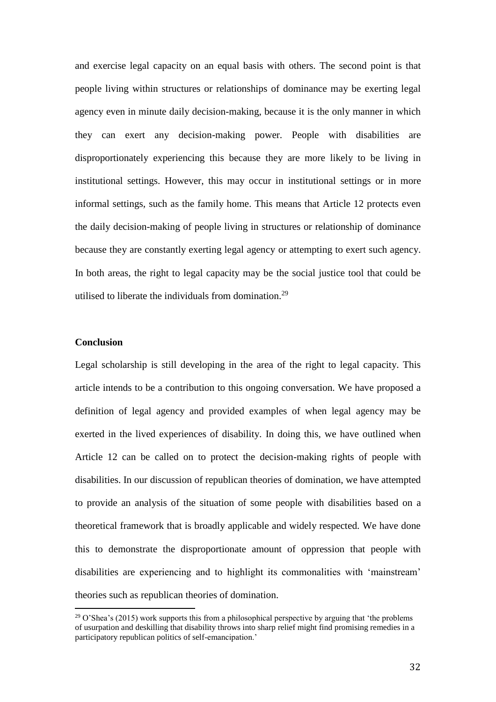and exercise legal capacity on an equal basis with others. The second point is that people living within structures or relationships of dominance may be exerting legal agency even in minute daily decision-making, because it is the only manner in which they can exert any decision-making power. People with disabilities are disproportionately experiencing this because they are more likely to be living in institutional settings. However, this may occur in institutional settings or in more informal settings, such as the family home. This means that Article 12 protects even the daily decision-making of people living in structures or relationship of dominance because they are constantly exerting legal agency or attempting to exert such agency. In both areas, the right to legal capacity may be the social justice tool that could be utilised to liberate the individuals from domination.<sup>29</sup>

# **Conclusion**

 $\overline{a}$ 

Legal scholarship is still developing in the area of the right to legal capacity. This article intends to be a contribution to this ongoing conversation. We have proposed a definition of legal agency and provided examples of when legal agency may be exerted in the lived experiences of disability. In doing this, we have outlined when Article 12 can be called on to protect the decision-making rights of people with disabilities. In our discussion of republican theories of domination, we have attempted to provide an analysis of the situation of some people with disabilities based on a theoretical framework that is broadly applicable and widely respected. We have done this to demonstrate the disproportionate amount of oppression that people with disabilities are experiencing and to highlight its commonalities with 'mainstream' theories such as republican theories of domination.

 $29$  O'Shea's (2015) work supports this from a philosophical perspective by arguing that 'the problems of usurpation and deskilling that disability throws into sharp relief might find promising remedies in a participatory republican politics of self-emancipation.'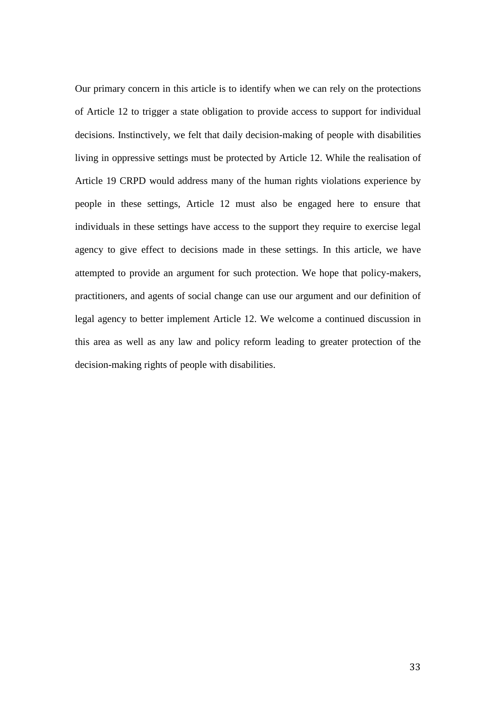Our primary concern in this article is to identify when we can rely on the protections of Article 12 to trigger a state obligation to provide access to support for individual decisions. Instinctively, we felt that daily decision-making of people with disabilities living in oppressive settings must be protected by Article 12. While the realisation of Article 19 CRPD would address many of the human rights violations experience by people in these settings, Article 12 must also be engaged here to ensure that individuals in these settings have access to the support they require to exercise legal agency to give effect to decisions made in these settings. In this article, we have attempted to provide an argument for such protection. We hope that policy-makers, practitioners, and agents of social change can use our argument and our definition of legal agency to better implement Article 12. We welcome a continued discussion in this area as well as any law and policy reform leading to greater protection of the decision-making rights of people with disabilities.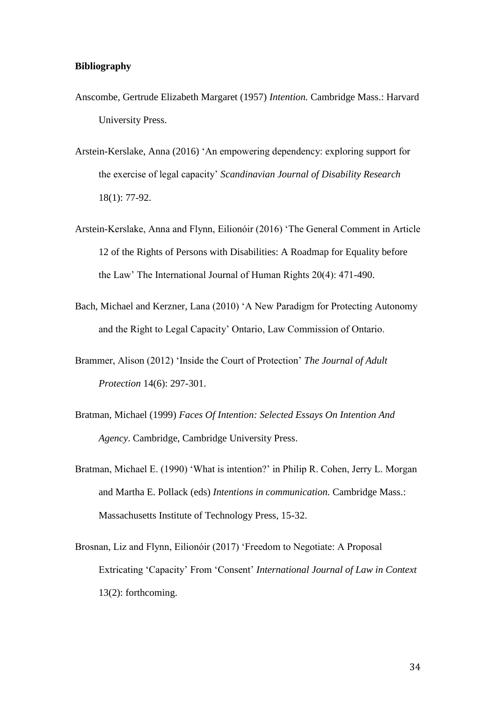#### **Bibliography**

- Anscombe, Gertrude Elizabeth Margaret (1957) *Intention.* Cambridge Mass.: Harvard University Press.
- Arstein-Kerslake, Anna (2016) 'An empowering dependency: exploring support for the exercise of legal capacity' *Scandinavian Journal of Disability Research* 18(1): 77-92.
- Arstein-Kerslake, Anna and Flynn, Eilionóir (2016) 'The General Comment in Article 12 of the Rights of Persons with Disabilities: A Roadmap for Equality before the Law' The International Journal of Human Rights 20(4): 471-490.
- Bach, Michael and Kerzner, Lana (2010) 'A New Paradigm for Protecting Autonomy and the Right to Legal Capacity' Ontario, Law Commission of Ontario.
- Brammer, Alison (2012) 'Inside the Court of Protection' *The Journal of Adult Protection* 14(6): 297-301.
- Bratman, Michael (1999) *Faces Of Intention: Selected Essays On Intention And Agency*. Cambridge, Cambridge University Press.
- Bratman, Michael E. (1990) 'What is intention?' in Philip R. Cohen, Jerry L. Morgan and Martha E. Pollack (eds) *Intentions in communication.* Cambridge Mass.: Massachusetts Institute of Technology Press, 15-32.
- Brosnan, Liz and Flynn, Eilionóir (2017) 'Freedom to Negotiate: A Proposal Extricating 'Capacity' From 'Consent' *International Journal of Law in Context* 13(2): forthcoming.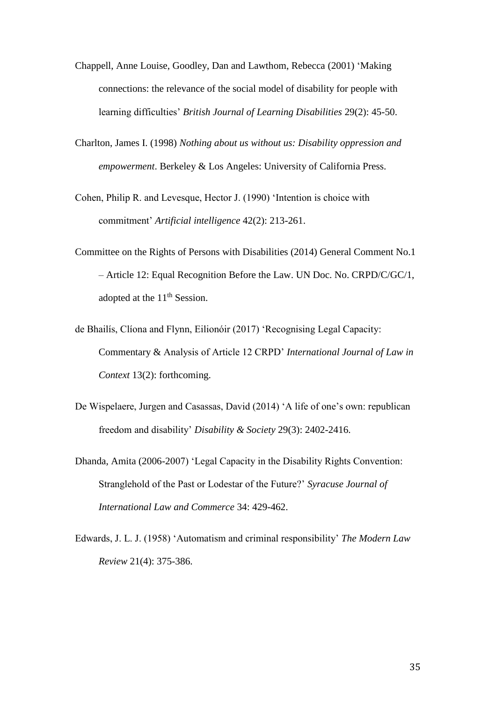- Chappell, Anne Louise, Goodley, Dan and Lawthom, Rebecca (2001) 'Making connections: the relevance of the social model of disability for people with learning difficulties' *British Journal of Learning Disabilities* 29(2): 45-50.
- Charlton, James I. (1998) *Nothing about us without us: Disability oppression and empowerment*. Berkeley & Los Angeles: University of California Press.
- Cohen, Philip R. and Levesque, Hector J. (1990) 'Intention is choice with commitment' *Artificial intelligence* 42(2): 213-261.
- Committee on the Rights of Persons with Disabilities (2014) General Comment No.1 – Article 12: Equal Recognition Before the Law. UN Doc. No. CRPD/C/GC/1, adopted at the  $11<sup>th</sup>$  Session.
- de Bhailís, Clíona and Flynn, Eilionóir (2017) 'Recognising Legal Capacity: Commentary & Analysis of Article 12 CRPD' *International Journal of Law in Context* 13(2): forthcoming.
- De Wispelaere, Jurgen and Casassas, David (2014) 'A life of one's own: republican freedom and disability' *Disability & Society* 29(3): 2402-2416.
- Dhanda, Amita (2006-2007) 'Legal Capacity in the Disability Rights Convention: Stranglehold of the Past or Lodestar of the Future?' *Syracuse Journal of International Law and Commerce* 34: 429-462.
- Edwards, J. L. J. (1958) 'Automatism and criminal responsibility' *The Modern Law Review* 21(4): 375-386.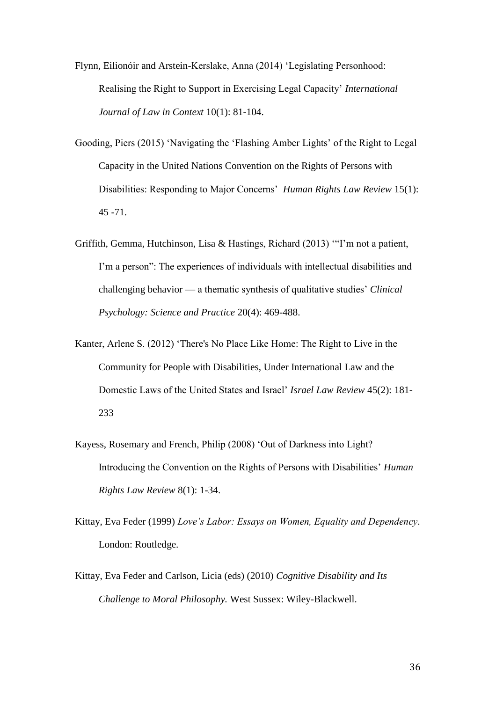Flynn, Eilionóir and Arstein-Kerslake, Anna (2014) 'Legislating Personhood: Realising the Right to Support in Exercising Legal Capacity' *International Journal of Law in Context* 10(1): 81-104.

- Gooding, Piers (2015) 'Navigating the 'Flashing Amber Lights' of the Right to Legal Capacity in the United Nations Convention on the Rights of Persons with Disabilities: Responding to Major Concerns' *Human Rights Law Review* 15(1): 45 -71.
- Griffith, Gemma, Hutchinson, Lisa & Hastings, Richard (2013) '"I'm not a patient, I'm a person": The experiences of individuals with intellectual disabilities and challenging behavior — a thematic synthesis of qualitative studies' *Clinical Psychology: Science and Practice* 20(4): 469-488.
- Kanter, Arlene S. (2012) 'There's No Place Like Home: The Right to Live in the Community for People with Disabilities, Under International Law and the Domestic Laws of the United States and Israel' *Israel Law Review* 45(2): 181- 233
- Kayess, Rosemary and French, Philip (2008) 'Out of Darkness into Light? Introducing the Convention on the Rights of Persons with Disabilities' *Human Rights Law Review* 8(1): 1-34.
- Kittay, Eva Feder (1999) *Love's Labor: Essays on Women, Equality and Dependency*. London: Routledge.
- Kittay, Eva Feder and Carlson, Licia (eds) (2010) *Cognitive Disability and Its Challenge to Moral Philosophy.* West Sussex: Wiley-Blackwell.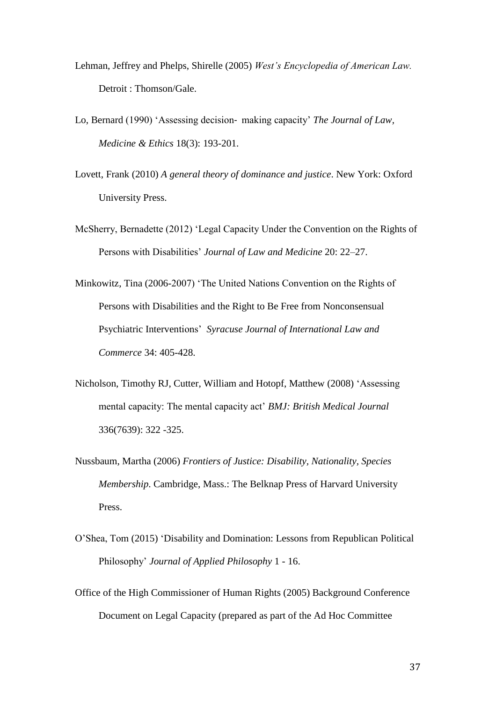- Lehman, Jeffrey and Phelps, Shirelle (2005) *West's Encyclopedia of American Law.* Detroit : Thomson/Gale.
- Lo, Bernard (1990) 'Assessing decision‐ making capacity' *The Journal of Law, Medicine & Ethics* 18(3): 193-201.
- Lovett, Frank (2010) *A general theory of dominance and justice*. New York: Oxford University Press.
- McSherry, Bernadette (2012) 'Legal Capacity Under the Convention on the Rights of Persons with Disabilities' *Journal of Law and Medicine* 20: 22–27.

Minkowitz, Tina (2006-2007) 'The United Nations Convention on the Rights of Persons with Disabilities and the Right to Be Free from Nonconsensual Psychiatric Interventions' *Syracuse Journal of International Law and Commerce* 34: 405-428.

- Nicholson, Timothy RJ, Cutter, William and Hotopf, Matthew (2008) 'Assessing mental capacity: The mental capacity act' *BMJ: British Medical Journal* 336(7639): 322 -325.
- Nussbaum, Martha (2006) *Frontiers of Justice: Disability, Nationality, Species Membership*. Cambridge, Mass.: The Belknap Press of Harvard University Press.
- O'Shea, Tom (2015) 'Disability and Domination: Lessons from Republican Political Philosophy' *Journal of Applied Philosophy* 1 - 16.
- Office of the High Commissioner of Human Rights (2005) Background Conference Document on Legal Capacity (prepared as part of the Ad Hoc Committee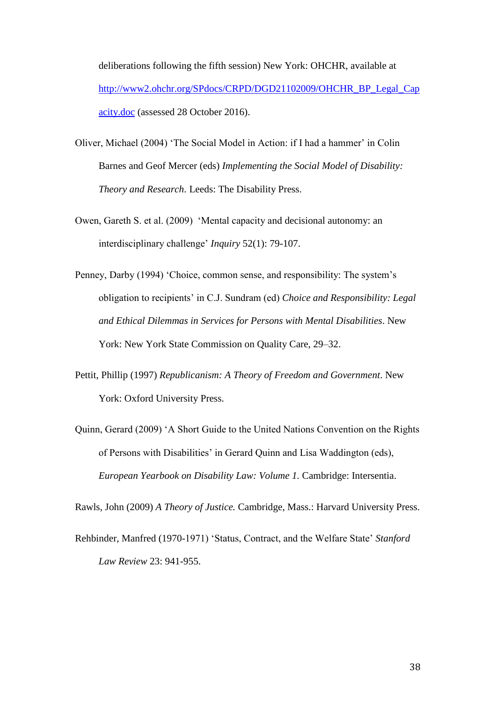deliberations following the fifth session) New York: OHCHR, available at [http://www2.ohchr.org/SPdocs/CRPD/DGD21102009/OHCHR\\_BP\\_Legal\\_Cap](http://www2.ohchr.org/SPdocs/CRPD/DGD21102009/OHCHR_BP_Legal_Capacity.doc) [acity.doc](http://www2.ohchr.org/SPdocs/CRPD/DGD21102009/OHCHR_BP_Legal_Capacity.doc) (assessed 28 October 2016).

- Oliver, Michael (2004) 'The Social Model in Action: if I had a hammer' in Colin Barnes and Geof Mercer (eds) *Implementing the Social Model of Disability: Theory and Research*. Leeds: The Disability Press.
- Owen, Gareth S. et al. (2009) 'Mental capacity and decisional autonomy: an interdisciplinary challenge' *Inquiry* 52(1): 79-107.
- Penney, Darby (1994) 'Choice, common sense, and responsibility: The system's obligation to recipients' in C.J. Sundram (ed) *Choice and Responsibility: Legal and Ethical Dilemmas in Services for Persons with Mental Disabilities*. New York: New York State Commission on Quality Care, 29–32.
- Pettit, Phillip (1997) *Republicanism: A Theory of Freedom and Government*. New York: Oxford University Press.
- Quinn, Gerard (2009) 'A Short Guide to the United Nations Convention on the Rights of Persons with Disabilities' in Gerard Quinn and Lisa Waddington (eds), *European Yearbook on Disability Law: Volume 1.* Cambridge: Intersentia.

Rawls, John (2009) *A Theory of Justice.* Cambridge, Mass.: Harvard University Press.

Rehbinder, Manfred (1970-1971) 'Status, Contract, and the Welfare State' *Stanford Law Review* 23: 941-955.